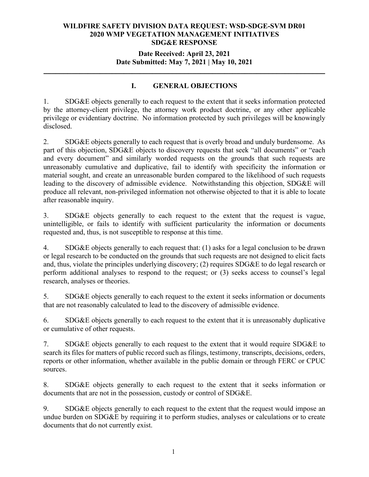# **Date Received: April 23, 2021 Date Submitted: May 7, 2021 | May 10, 2021**

**\_\_\_\_\_\_\_\_\_\_\_\_\_\_\_\_\_\_\_\_\_\_\_\_\_\_\_\_\_\_\_\_\_\_\_\_\_\_\_\_\_\_\_\_\_\_\_\_\_\_\_\_\_\_\_\_\_\_\_\_\_\_\_\_\_\_\_\_\_\_**

# **I. GENERAL OBJECTIONS**

1. SDG&E objects generally to each request to the extent that it seeks information protected by the attorney-client privilege, the attorney work product doctrine, or any other applicable privilege or evidentiary doctrine. No information protected by such privileges will be knowingly disclosed.

2. SDG&E objects generally to each request that is overly broad and unduly burdensome. As part of this objection, SDG&E objects to discovery requests that seek "all documents" or "each and every document" and similarly worded requests on the grounds that such requests are unreasonably cumulative and duplicative, fail to identify with specificity the information or material sought, and create an unreasonable burden compared to the likelihood of such requests leading to the discovery of admissible evidence. Notwithstanding this objection, SDG&E will produce all relevant, non-privileged information not otherwise objected to that it is able to locate after reasonable inquiry.

3. SDG&E objects generally to each request to the extent that the request is vague, unintelligible, or fails to identify with sufficient particularity the information or documents requested and, thus, is not susceptible to response at this time.

4. SDG&E objects generally to each request that: (1) asks for a legal conclusion to be drawn or legal research to be conducted on the grounds that such requests are not designed to elicit facts and, thus, violate the principles underlying discovery; (2) requires SDG&E to do legal research or perform additional analyses to respond to the request; or (3) seeks access to counsel's legal research, analyses or theories.

5. SDG&E objects generally to each request to the extent it seeks information or documents that are not reasonably calculated to lead to the discovery of admissible evidence.

6. SDG&E objects generally to each request to the extent that it is unreasonably duplicative or cumulative of other requests.

7. SDG&E objects generally to each request to the extent that it would require SDG&E to search its files for matters of public record such as filings, testimony, transcripts, decisions, orders, reports or other information, whether available in the public domain or through FERC or CPUC sources.

8. SDG&E objects generally to each request to the extent that it seeks information or documents that are not in the possession, custody or control of SDG&E.

9. SDG&E objects generally to each request to the extent that the request would impose an undue burden on SDG&E by requiring it to perform studies, analyses or calculations or to create documents that do not currently exist.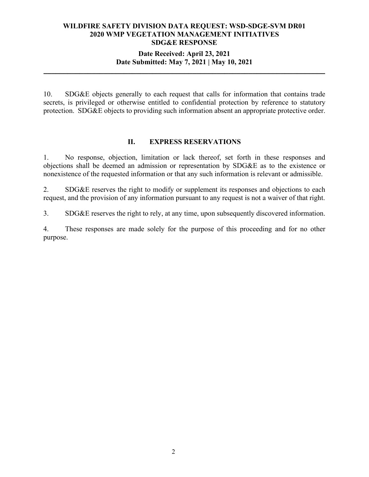# **Date Received: April 23, 2021 Date Submitted: May 7, 2021 | May 10, 2021**

**\_\_\_\_\_\_\_\_\_\_\_\_\_\_\_\_\_\_\_\_\_\_\_\_\_\_\_\_\_\_\_\_\_\_\_\_\_\_\_\_\_\_\_\_\_\_\_\_\_\_\_\_\_\_\_\_\_\_\_\_\_\_\_\_\_\_\_\_\_\_**

10. SDG&E objects generally to each request that calls for information that contains trade secrets, is privileged or otherwise entitled to confidential protection by reference to statutory protection. SDG&E objects to providing such information absent an appropriate protective order.

#### **II. EXPRESS RESERVATIONS**

1. No response, objection, limitation or lack thereof, set forth in these responses and objections shall be deemed an admission or representation by SDG&E as to the existence or nonexistence of the requested information or that any such information is relevant or admissible.

2. SDG&E reserves the right to modify or supplement its responses and objections to each request, and the provision of any information pursuant to any request is not a waiver of that right.

3. SDG&E reserves the right to rely, at any time, upon subsequently discovered information.

4. These responses are made solely for the purpose of this proceeding and for no other purpose.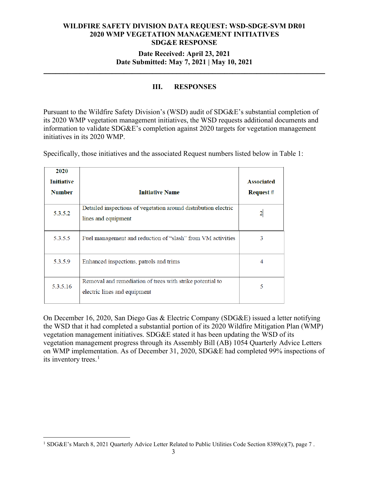# **Date Received: April 23, 2021 Date Submitted: May 7, 2021 | May 10, 2021**

**\_\_\_\_\_\_\_\_\_\_\_\_\_\_\_\_\_\_\_\_\_\_\_\_\_\_\_\_\_\_\_\_\_\_\_\_\_\_\_\_\_\_\_\_\_\_\_\_\_\_\_\_\_\_\_\_\_\_\_\_\_\_\_\_\_\_\_\_\_\_**

# **III. RESPONSES**

Pursuant to the Wildfire Safety Division's (WSD) audit of SDG&E's substantial completion of its 2020 WMP vegetation management initiatives, the WSD requests additional documents and information to validate SDG&E's completion against 2020 targets for vegetation management initiatives in its 2020 WMP.

| 2020<br><b>Initiative</b><br><b>Number</b> | <b>Initiative Name</b>                                                                    | <b>Associated</b><br><b>Request</b> # |
|--------------------------------------------|-------------------------------------------------------------------------------------------|---------------------------------------|
| 5.3.5.2                                    | Detailed inspections of vegetation around distribution electric<br>lines and equipment    |                                       |
| 5.3.5.5                                    | Fuel management and reduction of "slash" from VM activities                               | 3                                     |
| 5.3.5.9                                    | Enhanced inspections, patrols and trims                                                   | 4                                     |
| 5.3.5.16                                   | Removal and remediation of trees with strike potential to<br>electric lines and equipment | 5                                     |

Specifically, those initiatives and the associated Request numbers listed below in Table 1:

On December 16, 2020, San Diego Gas & Electric Company (SDG&E) issued a letter notifying the WSD that it had completed a substantial portion of its 2020 Wildfire Mitigation Plan (WMP) vegetation management initiatives. SDG&E stated it has been updating the WSD of its vegetation management progress through its Assembly Bill (AB) 1054 Quarterly Advice Letters on WMP implementation. As of December 31, 2020, SDG&E had completed 99% inspections of its inventory trees.<sup>[1](#page-2-0)</sup>

<span id="page-2-0"></span><sup>&</sup>lt;sup>1</sup> SDG&E's March 8, 2021 Quarterly Advice Letter Related to Public Utilities Code Section 8389(e)(7), page 7.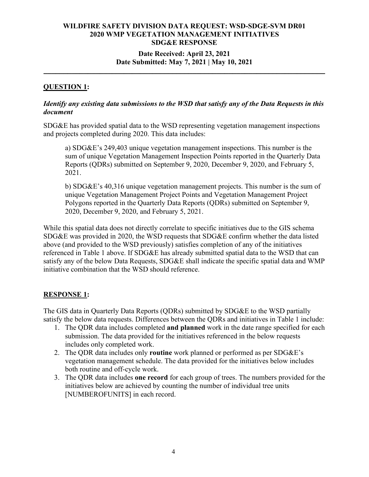# **Date Received: April 23, 2021 Date Submitted: May 7, 2021 | May 10, 2021**

**\_\_\_\_\_\_\_\_\_\_\_\_\_\_\_\_\_\_\_\_\_\_\_\_\_\_\_\_\_\_\_\_\_\_\_\_\_\_\_\_\_\_\_\_\_\_\_\_\_\_\_\_\_\_\_\_\_\_\_\_\_\_\_\_\_\_\_\_\_\_**

# **QUESTION 1:**

### *Identify any existing data submissions to the WSD that satisfy any of the Data Requests in this document*

SDG&E has provided spatial data to the WSD representing vegetation management inspections and projects completed during 2020. This data includes:

a) SDG&E's 249,403 unique vegetation management inspections. This number is the sum of unique Vegetation Management Inspection Points reported in the Quarterly Data Reports (QDRs) submitted on September 9, 2020, December 9, 2020, and February 5, 2021.

b) SDG&E's 40,316 unique vegetation management projects. This number is the sum of unique Vegetation Management Project Points and Vegetation Management Project Polygons reported in the Quarterly Data Reports (QDRs) submitted on September 9, 2020, December 9, 2020, and February 5, 2021.

While this spatial data does not directly correlate to specific initiatives due to the GIS schema SDG&E was provided in 2020, the WSD requests that SDG&E confirm whether the data listed above (and provided to the WSD previously) satisfies completion of any of the initiatives referenced in Table 1 above. If SDG&E has already submitted spatial data to the WSD that can satisfy any of the below Data Requests, SDG&E shall indicate the specific spatial data and WMP initiative combination that the WSD should reference.

# **RESPONSE 1:**

The GIS data in Quarterly Data Reports (QDRs) submitted by SDG&E to the WSD partially satisfy the below data requests. Differences between the QDRs and initiatives in Table 1 include:

- 1. The QDR data includes completed **and planned** work in the date range specified for each submission. The data provided for the initiatives referenced in the below requests includes only completed work.
- 2. The QDR data includes only **routine** work planned or performed as per SDG&E's vegetation management schedule. The data provided for the initiatives below includes both routine and off-cycle work.
- 3. The QDR data includes **one record** for each group of trees. The numbers provided for the initiatives below are achieved by counting the number of individual tree units [NUMBEROFUNITS] in each record.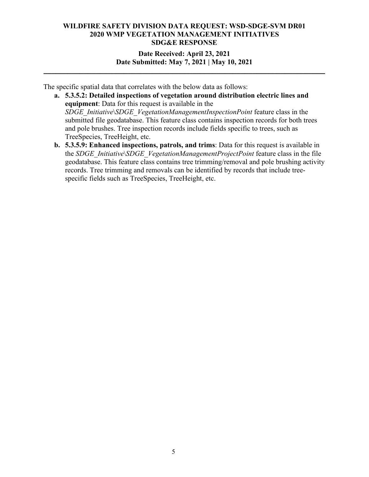**Date Received: April 23, 2021 Date Submitted: May 7, 2021 | May 10, 2021**

**\_\_\_\_\_\_\_\_\_\_\_\_\_\_\_\_\_\_\_\_\_\_\_\_\_\_\_\_\_\_\_\_\_\_\_\_\_\_\_\_\_\_\_\_\_\_\_\_\_\_\_\_\_\_\_\_\_\_\_\_\_\_\_\_\_\_\_\_\_\_**

The specific spatial data that correlates with the below data as follows:

- **a. 5.3.5.2: Detailed inspections of vegetation around distribution electric lines and equipment**: Data for this request is available in the *SDGE\_Initiative*\*SDGE\_VegetationManagementInspectionPoint* feature class in the submitted file geodatabase. This feature class contains inspection records for both trees and pole brushes. Tree inspection records include fields specific to trees, such as TreeSpecies, TreeHeight, etc.
- **b. 5.3.5.9: Enhanced inspections, patrols, and trims**: Data for this request is available in the *SDGE\_Initiative*\*SDGE\_VegetationManagementProjectPoint* feature class in the file geodatabase. This feature class contains tree trimming/removal and pole brushing activity records. Tree trimming and removals can be identified by records that include treespecific fields such as TreeSpecies, TreeHeight, etc.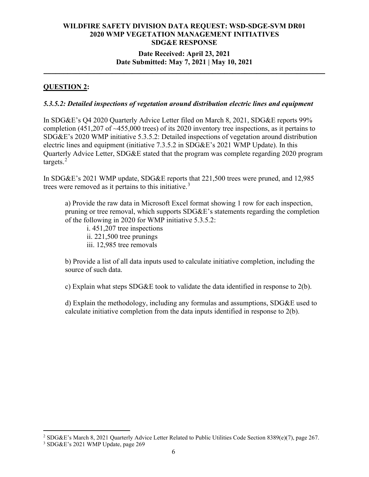## **Date Received: April 23, 2021 Date Submitted: May 7, 2021 | May 10, 2021**

**\_\_\_\_\_\_\_\_\_\_\_\_\_\_\_\_\_\_\_\_\_\_\_\_\_\_\_\_\_\_\_\_\_\_\_\_\_\_\_\_\_\_\_\_\_\_\_\_\_\_\_\_\_\_\_\_\_\_\_\_\_\_\_\_\_\_\_\_\_\_**

## **QUESTION 2:**

#### *5.3.5.2: Detailed inspections of vegetation around distribution electric lines and equipment*

In SDG&E's Q4 2020 Quarterly Advice Letter filed on March 8, 2021, SDG&E reports 99% completion  $(451,207)$  of  $\sim$ 455,000 trees) of its 2020 inventory tree inspections, as it pertains to SDG&E's 2020 WMP initiative 5.3.5.2: Detailed inspections of vegetation around distribution electric lines and equipment (initiative 7.3.5.2 in SDG&E's 2021 WMP Update). In this Quarterly Advice Letter, SDG&E stated that the program was complete regarding 2020 program targets.<sup>[2](#page-5-0)</sup>

In SDG&E's 2021 WMP update, SDG&E reports that 221,500 trees were pruned, and 12,985 trees were removed as it pertains to this initiative.<sup>[3](#page-5-1)</sup>

a) Provide the raw data in Microsoft Excel format showing 1 row for each inspection, pruning or tree removal, which supports SDG&E's statements regarding the completion of the following in 2020 for WMP initiative 5.3.5.2:

i. 451,207 tree inspections ii. 221,500 tree prunings iii. 12,985 tree removals

b) Provide a list of all data inputs used to calculate initiative completion, including the source of such data.

c) Explain what steps SDG&E took to validate the data identified in response to  $2(b)$ .

d) Explain the methodology, including any formulas and assumptions,  $SDG\&E$  used to calculate initiative completion from the data inputs identified in response to 2(b).

<span id="page-5-0"></span><sup>2</sup> SDG&E's March 8, 2021 Quarterly Advice Letter Related to Public Utilities Code Section 8389(e)(7), page 267.

<span id="page-5-1"></span><sup>3</sup> SDG&E's 2021 WMP Update, page 269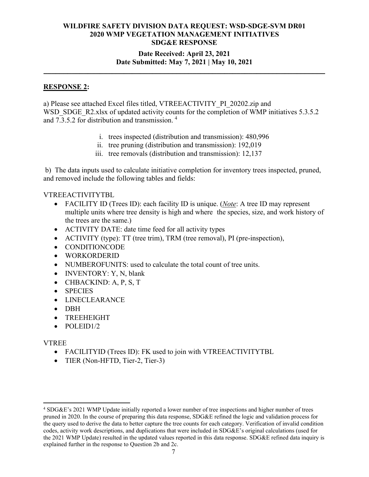# **Date Received: April 23, 2021 Date Submitted: May 7, 2021 | May 10, 2021**

**\_\_\_\_\_\_\_\_\_\_\_\_\_\_\_\_\_\_\_\_\_\_\_\_\_\_\_\_\_\_\_\_\_\_\_\_\_\_\_\_\_\_\_\_\_\_\_\_\_\_\_\_\_\_\_\_\_\_\_\_\_\_\_\_\_\_\_\_\_\_**

### **RESPONSE 2:**

a) Please see attached Excel files titled, VTREEACTIVITY\_PI\_20202.zip and WSD\_SDGE\_R2.xlsx of updated activity counts for the completion of WMP initiatives 5.3.5.2 and  $7.\overline{3}.\overline{5}.\overline{2}$  for distribution and transmission.<sup>[4](#page-6-0)</sup>

- i. trees inspected (distribution and transmission): 480,996
- ii. tree pruning (distribution and transmission): 192,019
- iii. tree removals (distribution and transmission): 12,137

b) The data inputs used to calculate initiative completion for inventory trees inspected, pruned, and removed include the following tables and fields:

### VTREEACTIVITYTBL

- FACILITY ID (Trees ID): each facility ID is unique. (*Note*: A tree ID may represent multiple units where tree density is high and where the species, size, and work history of the trees are the same.)
- ACTIVITY DATE: date time feed for all activity types
- ACTIVITY (type): TT (tree trim), TRM (tree removal), PI (pre-inspection),
- CONDITIONCODE
- WORKORDERID
- NUMBEROFUNITS: used to calculate the total count of tree units.
- INVENTORY: Y, N, blank
- CHBACKIND: A, P, S, T
- SPECIES
- LINECLEARANCE
- DBH
- TREEHEIGHT
- POLEID1/2

# VTREE

- FACILITYID (Trees ID): FK used to join with VTREEACTIVITYTBL
- TIER (Non-HFTD, Tier-2, Tier-3)

<span id="page-6-0"></span><sup>4</sup> SDG&E's 2021 WMP Update initially reported a lower number of tree inspections and higher number of trees pruned in 2020. In the course of preparing this data response, SDG&E refined the logic and validation process for the query used to derive the data to better capture the tree counts for each category. Verification of invalid condition codes, activity work descriptions, and duplications that were included in SDG&E's original calculations (used for the 2021 WMP Update) resulted in the updated values reported in this data response. SDG&E refined data inquiry is explained further in the response to Question 2b and 2c.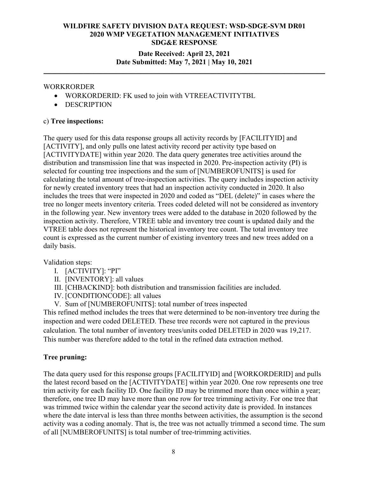# **Date Received: April 23, 2021 Date Submitted: May 7, 2021 | May 10, 2021**

**\_\_\_\_\_\_\_\_\_\_\_\_\_\_\_\_\_\_\_\_\_\_\_\_\_\_\_\_\_\_\_\_\_\_\_\_\_\_\_\_\_\_\_\_\_\_\_\_\_\_\_\_\_\_\_\_\_\_\_\_\_\_\_\_\_\_\_\_\_\_**

### WORKRORDER

- WORKORDERID: FK used to join with VTREEACTIVITYTBL
- DESCRIPTION

## c) **Tree inspections:**

The query used for this data response groups all activity records by [FACILITYID] and [ACTIVITY], and only pulls one latest activity record per activity type based on [ACTIVITYDATE] within year 2020. The data query generates tree activities around the distribution and transmission line that was inspected in 2020. Pre-inspection activity (PI) is selected for counting tree inspections and the sum of [NUMBEROFUNITS] is used for calculating the total amount of tree-inspection activities. The query includes inspection activity for newly created inventory trees that had an inspection activity conducted in 2020. It also includes the trees that were inspected in 2020 and coded as "DEL (delete)" in cases where the tree no longer meets inventory criteria. Trees coded deleted will not be considered as inventory in the following year. New inventory trees were added to the database in 2020 followed by the inspection activity. Therefore, VTREE table and inventory tree count is updated daily and the VTREE table does not represent the historical inventory tree count. The total inventory tree count is expressed as the current number of existing inventory trees and new trees added on a daily basis.

Validation steps:

- I. [ACTIVITY]: "PI"
- II. [INVENTORY]: all values
- III. [CHBACKIND]: both distribution and transmission facilities are included.
- IV. [CONDITIONCODE]: all values
- V. Sum of [NUMBEROFUNITS]: total number of trees inspected

This refined method includes the trees that were determined to be non-inventory tree during the inspection and were coded DELETED. These tree records were not captured in the previous calculation. The total number of inventory trees/units coded DELETED in 2020 was 19,217. This number was therefore added to the total in the refined data extraction method.

# **Tree pruning:**

The data query used for this response groups [FACILITYID] and [WORKORDERID] and pulls the latest record based on the [ACTIVITYDATE] within year 2020. One row represents one tree trim activity for each facility ID. One facility ID may be trimmed more than once within a year; therefore, one tree ID may have more than one row for tree trimming activity. For one tree that was trimmed twice within the calendar year the second activity date is provided. In instances where the date interval is less than three months between activities, the assumption is the second activity was a coding anomaly. That is, the tree was not actually trimmed a second time. The sum of all [NUMBEROFUNITS] is total number of tree-trimming activities.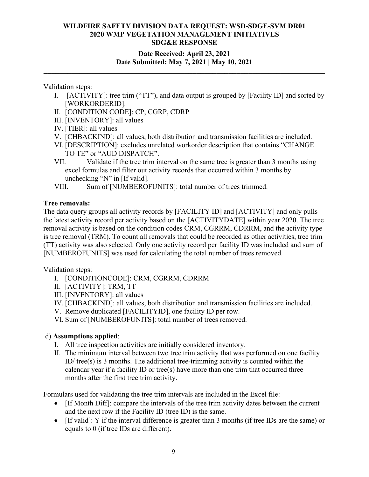# **Date Received: April 23, 2021 Date Submitted: May 7, 2021 | May 10, 2021**

**\_\_\_\_\_\_\_\_\_\_\_\_\_\_\_\_\_\_\_\_\_\_\_\_\_\_\_\_\_\_\_\_\_\_\_\_\_\_\_\_\_\_\_\_\_\_\_\_\_\_\_\_\_\_\_\_\_\_\_\_\_\_\_\_\_\_\_\_\_\_**

Validation steps:

- I. [ACTIVITY]: tree trim ("TT"), and data output is grouped by [Facility ID] and sorted by [WORKORDERID].
- II. [CONDITION CODE]: CP, CGRP, CDRP
- III. [INVENTORY]: all values
- IV. [TIER]: all values
- V. [CHBACKIND]: all values, both distribution and transmission facilities are included.
- VI. [DESCRIPTION]: excludes unrelated workorder description that contains "CHANGE TO TE" or "AUD DISPATCH".
- VII. Validate if the tree trim interval on the same tree is greater than 3 months using excel formulas and filter out activity records that occurred within 3 months by unchecking "N" in [If valid].
- VIII. Sum of [NUMBEROFUNITS]: total number of trees trimmed.

# **Tree removals:**

The data query groups all activity records by [FACILITY ID] and [ACTIVITY] and only pulls the latest activity record per activity based on the [ACTIVITYDATE] within year 2020. The tree removal activity is based on the condition codes CRM, CGRRM, CDRRM, and the activity type is tree removal (TRM). To count all removals that could be recorded as other activities, tree trim (TT) activity was also selected. Only one activity record per facility ID was included and sum of [NUMBEROFUNITS] was used for calculating the total number of trees removed.

Validation steps:

- I. [CONDITIONCODE]: CRM, CGRRM, CDRRM
- II. [ACTIVITY]: TRM, TT
- III. [INVENTORY]: all values
- IV. [CHBACKIND]: all values, both distribution and transmission facilities are included.
- V. Remove duplicated [FACILITYID], one facility ID per row.
- VI. Sum of [NUMBEROFUNITS]: total number of trees removed.

# d) **Assumptions applied**:

- I. All tree inspection activities are initially considered inventory.
- II. The minimum interval between two tree trim activity that was performed on one facility ID/ $tree(s)$  is 3 months. The additional tree-trimming activity is counted within the calendar year if a facility ID or tree(s) have more than one trim that occurred three months after the first tree trim activity.

Formulars used for validating the tree trim intervals are included in the Excel file:

- If Month Diff. compare the intervals of the tree trim activity dates between the current and the next row if the Facility ID (tree ID) is the same.
- [If valid]: Y if the interval difference is greater than 3 months (if tree IDs are the same) or equals to 0 (if tree IDs are different).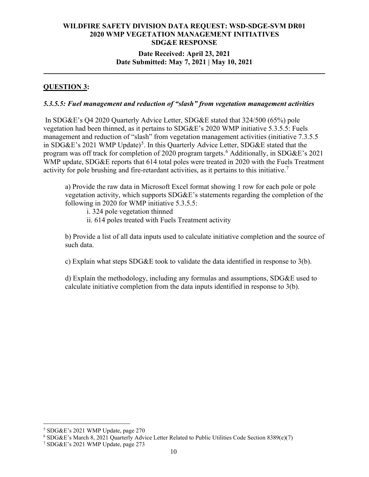## **Date Received: April 23, 2021 Date Submitted: May 7, 2021 | May 10, 2021**

**\_\_\_\_\_\_\_\_\_\_\_\_\_\_\_\_\_\_\_\_\_\_\_\_\_\_\_\_\_\_\_\_\_\_\_\_\_\_\_\_\_\_\_\_\_\_\_\_\_\_\_\_\_\_\_\_\_\_\_\_\_\_\_\_\_\_\_\_\_\_**

# **QUESTION 3:**

### *5.3.5.5: Fuel management and reduction of "slash" from vegetation management activities*

In SDG&E's Q4 2020 Quarterly Advice Letter, SDG&E stated that 324/500 (65%) pole vegetation had been thinned, as it pertains to SDG&E's 2020 WMP initiative 5.3.5.5: Fuels management and reduction of "slash" from vegetation management activities (initiative 7.3.5.5) in SDG&E's 2021 WMP Update)<sup>[5](#page-9-0)</sup>. In this Quarterly Advice Letter, SDG&E stated that the program was off track for completion of 2020 program targets.<sup>[6](#page-9-1)</sup> Additionally, in SDG&E's 2021 WMP update, SDG&E reports that 614 total poles were treated in 2020 with the Fuels Treatment activity for pole brushing and fire-retardant activities, as it pertains to this initiative.<sup>[7](#page-9-2)</sup>

a) Provide the raw data in Microsoft Excel format showing 1 row for each pole or pole vegetation activity, which supports SDG&E's statements regarding the completion of the following in 2020 for WMP initiative 5.3.5.5:

i. 324 pole vegetation thinned

ii. 614 poles treated with Fuels Treatment activity

b) Provide a list of all data inputs used to calculate initiative completion and the source of such data.

c) Explain what steps SDG&E took to validate the data identified in response to 3(b).

d) Explain the methodology, including any formulas and assumptions, SDG&E used to calculate initiative completion from the data inputs identified in response to 3(b).

<span id="page-9-0"></span><sup>5</sup> SDG&E's 2021 WMP Update, page 270

<span id="page-9-1"></span><sup>&</sup>lt;sup>6</sup> SDG&E's March 8, 2021 Quarterly Advice Letter Related to Public Utilities Code Section 8389(e)(7) <sup>7</sup> SDG&E's 2021 WMP Update, page 273

<span id="page-9-2"></span>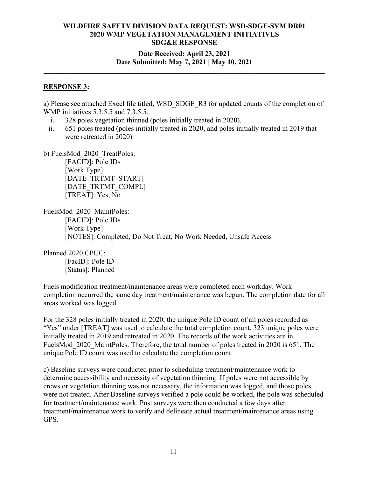## **Date Received: April 23, 2021 Date Submitted: May 7, 2021 | May 10, 2021**

**\_\_\_\_\_\_\_\_\_\_\_\_\_\_\_\_\_\_\_\_\_\_\_\_\_\_\_\_\_\_\_\_\_\_\_\_\_\_\_\_\_\_\_\_\_\_\_\_\_\_\_\_\_\_\_\_\_\_\_\_\_\_\_\_\_\_\_\_\_\_**

#### **RESPONSE 3:**

a) Please see attached Excel file titled, WSD\_SDGE\_R3 for updated counts of the completion of WMP initiatives 5.3.5.5 and 7.3.5.5.

- i. 328 poles vegetation thinned (poles initially treated in 2020).
- ii. 651 poles treated (poles initially treated in 2020, and poles initially treated in 2019 that were retreated in 2020)

b) FuelsMod\_2020\_TreatPoles:

[FACID]: Pole IDs [Work Type] [DATE\_TRTMT\_START] [DATE\_TRTMT\_COMPL] [TREAT]: Yes, No

FuelsMod\_2020\_MaintPoles: [FACID]: Pole IDs [Work Type] [NOTES]: Completed, Do Not Treat, No Work Needed, Unsafe Access

Planned 2020 CPUC: [FacID]: Pole ID

[Status]: Planned

Fuels modification treatment/maintenance areas were completed each workday. Work completion occurred the same day treatment/maintenance was begun. The completion date for all areas worked was logged.

For the 328 poles initially treated in 2020, the unique Pole ID count of all poles recorded as "Yes" under [TREAT] was used to calculate the total completion count. 323 unique poles were initially treated in 2019 and retreated in 2020. The records of the work activities are in FuelsMod 2020 MaintPoles. Therefore, the total number of poles treated in 2020 is 651. The unique Pole ID count was used to calculate the completion count.

c) Baseline surveys were conducted prior to scheduling treatment/maintenance work to determine accessibility and necessity of vegetation thinning. If poles were not accessible by crews or vegetation thinning was not necessary, the information was logged, and those poles were not treated. After Baseline surveys verified a pole could be worked, the pole was scheduled for treatment/maintenance work. Post surveys were then conducted a few days after treatment/maintenance work to verify and delineate actual treatment/maintenance areas using GPS.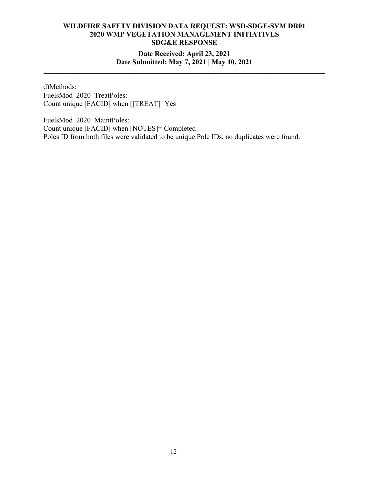# **Date Received: April 23, 2021 Date Submitted: May 7, 2021 | May 10, 2021**

**\_\_\_\_\_\_\_\_\_\_\_\_\_\_\_\_\_\_\_\_\_\_\_\_\_\_\_\_\_\_\_\_\_\_\_\_\_\_\_\_\_\_\_\_\_\_\_\_\_\_\_\_\_\_\_\_\_\_\_\_\_\_\_\_\_\_\_\_\_\_**

d)Methods: FuelsMod\_2020\_TreatPoles: Count unique [FACID] when [[TREAT]=Yes

FuelsMod\_2020\_MaintPoles: Count unique [FACID] when [NOTES]= Completed Poles ID from both files were validated to be unique Pole IDs, no duplicates were found.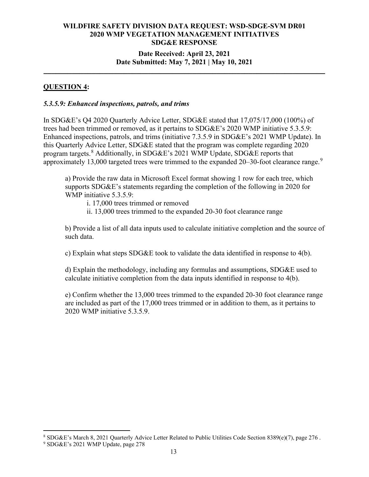# **Date Received: April 23, 2021 Date Submitted: May 7, 2021 | May 10, 2021**

**\_\_\_\_\_\_\_\_\_\_\_\_\_\_\_\_\_\_\_\_\_\_\_\_\_\_\_\_\_\_\_\_\_\_\_\_\_\_\_\_\_\_\_\_\_\_\_\_\_\_\_\_\_\_\_\_\_\_\_\_\_\_\_\_\_\_\_\_\_\_**

## **QUESTION 4:**

#### *5.3.5.9: Enhanced inspections, patrols, and trims*

In SDG&E's Q4 2020 Quarterly Advice Letter, SDG&E stated that 17,075/17,000 (100%) of trees had been trimmed or removed, as it pertains to SDG&E's 2020 WMP initiative 5.3.5.9: Enhanced inspections, patrols, and trims (initiative 7.3.5.9 in SDG&E's 2021 WMP Update). In this Quarterly Advice Letter, SDG&E stated that the program was complete regarding 2020 program targets.<sup>[8](#page-12-0)</sup> Additionally, in SDG&E's 2021 WMP Update, SDG&E reports that approximately 13,000 targeted trees were trimmed to the expanded 20-30-foot clearance range.<sup>[9](#page-12-1)</sup>

a) Provide the raw data in Microsoft Excel format showing 1 row for each tree, which supports SDG&E's statements regarding the completion of the following in 2020 for WMP initiative 5.3.5.9:

i. 17,000 trees trimmed or removed

ii. 13,000 trees trimmed to the expanded 20-30 foot clearance range

b) Provide a list of all data inputs used to calculate initiative completion and the source of such data.

c) Explain what steps SDG&E took to validate the data identified in response to 4(b).

d) Explain the methodology, including any formulas and assumptions, SDG&E used to calculate initiative completion from the data inputs identified in response to 4(b).

e) Confirm whether the 13,000 trees trimmed to the expanded 20-30 foot clearance range are included as part of the 17,000 trees trimmed or in addition to them, as it pertains to 2020 WMP initiative 5.3.5.9.

<span id="page-12-0"></span><sup>8</sup> SDG&E's March 8, 2021 Quarterly Advice Letter Related to Public Utilities Code Section 8389(e)(7), page 276 .

<span id="page-12-1"></span><sup>9</sup> SDG&E's 2021 WMP Update, page 278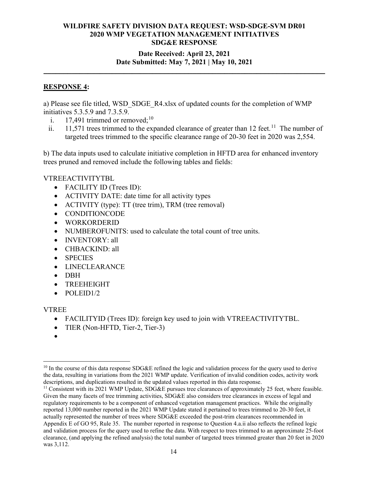# **Date Received: April 23, 2021 Date Submitted: May 7, 2021 | May 10, 2021**

**\_\_\_\_\_\_\_\_\_\_\_\_\_\_\_\_\_\_\_\_\_\_\_\_\_\_\_\_\_\_\_\_\_\_\_\_\_\_\_\_\_\_\_\_\_\_\_\_\_\_\_\_\_\_\_\_\_\_\_\_\_\_\_\_\_\_\_\_\_\_**

### **RESPONSE 4:**

a) Please see file titled, WSD\_SDGE\_R4.xlsx of updated counts for the completion of WMP initiatives 5.3.5.9 and 7.3.5.9.

- i.  $17,491$  trimmed or removed;<sup>[10](#page-13-0)</sup>
- ii.  $11,571$  $11,571$  trees trimmed to the expanded clearance of greater than 12 feet.<sup>11</sup> The number of targeted trees trimmed to the specific clearance range of 20-30 feet in 2020 was 2,554.

b) The data inputs used to calculate initiative completion in HFTD area for enhanced inventory trees pruned and removed include the following tables and fields:

### VTREEACTIVITYTBL

- FACILITY ID (Trees ID):
- ACTIVITY DATE: date time for all activity types
- ACTIVITY (type): TT (tree trim), TRM (tree removal)
- CONDITIONCODE
- WORKORDERID
- NUMBEROFUNITS: used to calculate the total count of tree units.
- INVENTORY: all
- CHBACKIND: all
- SPECIES
- LINECLEARANCE
- DBH
- TREEHEIGHT
- POLEID1/2

#### VTREE

- FACILITYID (Trees ID): foreign key used to join with VTREEACTIVITYTBL.
- TIER (Non-HFTD, Tier-2, Tier-3)
- •

<span id="page-13-1"></span><sup>11</sup> Consistent with its 2021 WMP Update, SDG&E pursues tree clearances of approximately 25 feet, where feasible. Given the many facets of tree trimming activities, SDG&E also considers tree clearances in excess of legal and regulatory requirements to be a component of enhanced vegetation management practices. While the originally reported 13,000 number reported in the 2021 WMP Update stated it pertained to trees trimmed to 20-30 feet, it actually represented the number of trees where SDG&E exceeded the post-trim clearances recommended in Appendix E of GO 95, Rule 35. The number reported in response to Question 4.a.ii also reflects the refined logic and validation process for the query used to refine the data. With respect to trees trimmed to an approximate 25-foot clearance, (and applying the refined analysis) the total number of targeted trees trimmed greater than 20 feet in 2020 was 3,112.

<span id="page-13-0"></span> $10$  In the course of this data response SDG&E refined the logic and validation process for the query used to derive the data, resulting in variations from the 2021 WMP update. Verification of invalid condition codes, activity work descriptions, and duplications resulted in the updated values reported in this data response.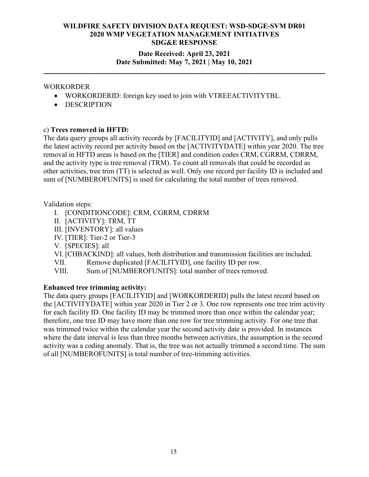# **Date Received: April 23, 2021 Date Submitted: May 7, 2021 | May 10, 2021**

**\_\_\_\_\_\_\_\_\_\_\_\_\_\_\_\_\_\_\_\_\_\_\_\_\_\_\_\_\_\_\_\_\_\_\_\_\_\_\_\_\_\_\_\_\_\_\_\_\_\_\_\_\_\_\_\_\_\_\_\_\_\_\_\_\_\_\_\_\_\_**

## WORKORDER

- WORKORDERID: foreign key used to join with VTREEACTIVITYTBL.
- DESCRIPTION

### c) **Trees removed in HFTD:**

The data query groups all activity records by [FACILITYID] and [ACTIVITY], and only pulls the latest activity record per activity based on the [ACTIVITYDATE] within year 2020. The tree removal in HFTD areas is based on the [TIER] and condition codes CRM, CGRRM, CDRRM, and the activity type is tree removal (TRM). To count all removals that could be recorded as other activities, tree trim (TT) is selected as well. Only one record per facility ID is included and sum of [NUMBEROFUNITS] is used for calculating the total number of trees removed.

### Validation steps:

- I. [CONDITIONCODE]: CRM, CGRRM, CDRRM
- II. [ACTIVITY]: TRM, TT
- III. [INVENTORY]: all values
- IV. [TIER]: Tier-2 or Tier-3
- V. [SPECIES]: all
- VI. [CHBACKIND]: all values, both distribution and transmission facilities are included.
- VII. Remove duplicated [FACILITYID], one facility ID per row.
- VIII. Sum of [NUMBEROFUNITS]: total number of trees removed.

# **Enhanced tree trimming activity:**

The data query groups [FACILITYID] and [WORKORDERID] pulls the latest record based on the [ACTIVITYDATE] within year 2020 in Tier 2 or 3. One row represents one tree trim activity for each facility ID. One facility ID may be trimmed more than once within the calendar year; therefore, one tree ID may have more than one row for tree trimming activity. For one tree that was trimmed twice within the calendar year the second activity date is provided. In instances where the date interval is less than three months between activities, the assumption is the second activity was a coding anomaly. That is, the tree was not actually trimmed a second time. The sum of all [NUMBEROFUNITS] is total number of tree-trimming activities.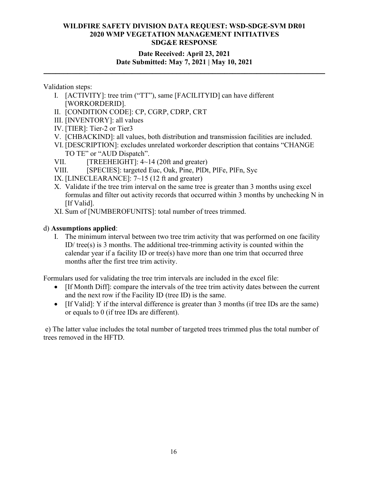# **Date Received: April 23, 2021 Date Submitted: May 7, 2021 | May 10, 2021**

**\_\_\_\_\_\_\_\_\_\_\_\_\_\_\_\_\_\_\_\_\_\_\_\_\_\_\_\_\_\_\_\_\_\_\_\_\_\_\_\_\_\_\_\_\_\_\_\_\_\_\_\_\_\_\_\_\_\_\_\_\_\_\_\_\_\_\_\_\_\_**

### Validation steps:

- I. [ACTIVITY]: tree trim ("TT"), same [FACILITYID] can have different [WORKORDERID].
- II. [CONDITION CODE]: CP, CGRP, CDRP, CRT
- III. [INVENTORY]: all values
- IV. [TIER]: Tier-2 or Tier3
- V. [CHBACKIND]: all values, both distribution and transmission facilities are included.
- VI. [DESCRIPTION]: excludes unrelated workorder description that contains "CHANGE TO TE" or "AUD Dispatch".
- VII.  $[TREEHEIGHT]: 4~14 (20ft and greater)]$
- VIII. [SPECIES]: targeted Euc, Oak, Pine, PlDt, PlFe, PlFn, Syc
- IX. [LINECLEARANCE]: 7~15 (12 ft and greater)
- X. Validate if the tree trim interval on the same tree is greater than 3 months using excel formulas and filter out activity records that occurred within 3 months by unchecking N in [If Valid].
- XI. Sum of [NUMBEROFUNITS]: total number of trees trimmed.

# d) **Assumptions applied**:

I. The minimum interval between two tree trim activity that was performed on one facility ID/ tree(s) is 3 months. The additional tree-trimming activity is counted within the calendar year if a facility ID or tree(s) have more than one trim that occurred three months after the first tree trim activity.

Formulars used for validating the tree trim intervals are included in the excel file:

- If Month Diff]: compare the intervals of the tree trim activity dates between the current and the next row if the Facility ID (tree ID) is the same.
- [If Valid]: Y if the interval difference is greater than 3 months (if tree IDs are the same) or equals to 0 (if tree IDs are different).

e) The latter value includes the total number of targeted trees trimmed plus the total number of trees removed in the HFTD.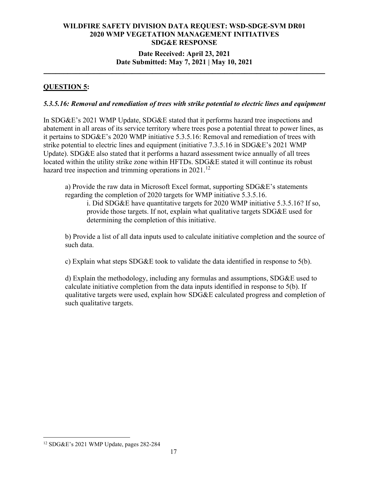## **Date Received: April 23, 2021 Date Submitted: May 7, 2021 | May 10, 2021**

**\_\_\_\_\_\_\_\_\_\_\_\_\_\_\_\_\_\_\_\_\_\_\_\_\_\_\_\_\_\_\_\_\_\_\_\_\_\_\_\_\_\_\_\_\_\_\_\_\_\_\_\_\_\_\_\_\_\_\_\_\_\_\_\_\_\_\_\_\_\_**

# **QUESTION 5:**

### *5.3.5.16: Removal and remediation of trees with strike potential to electric lines and equipment*

In SDG&E's 2021 WMP Update, SDG&E stated that it performs hazard tree inspections and abatement in all areas of its service territory where trees pose a potential threat to power lines, as it pertains to SDG&E's 2020 WMP initiative 5.3.5.16: Removal and remediation of trees with strike potential to electric lines and equipment (initiative 7.3.5.16 in SDG&E's 2021 WMP Update). SDG&E also stated that it performs a hazard assessment twice annually of all trees located within the utility strike zone within HFTDs. SDG&E stated it will continue its robust hazard tree inspection and trimming operations in  $2021$ .<sup>[12](#page-16-0)</sup>

a) Provide the raw data in Microsoft Excel format, supporting SDG&E's statements regarding the completion of 2020 targets for WMP initiative 5.3.5.16.

i. Did SDG&E have quantitative targets for 2020 WMP initiative 5.3.5.16? If so, provide those targets. If not, explain what qualitative targets SDG&E used for determining the completion of this initiative.

b) Provide a list of all data inputs used to calculate initiative completion and the source of such data.

c) Explain what steps SDG&E took to validate the data identified in response to 5(b).

d) Explain the methodology, including any formulas and assumptions, SDG&E used to calculate initiative completion from the data inputs identified in response to 5(b). If qualitative targets were used, explain how SDG&E calculated progress and completion of such qualitative targets.

<span id="page-16-0"></span><sup>12</sup> SDG&E's 2021 WMP Update, pages 282-284